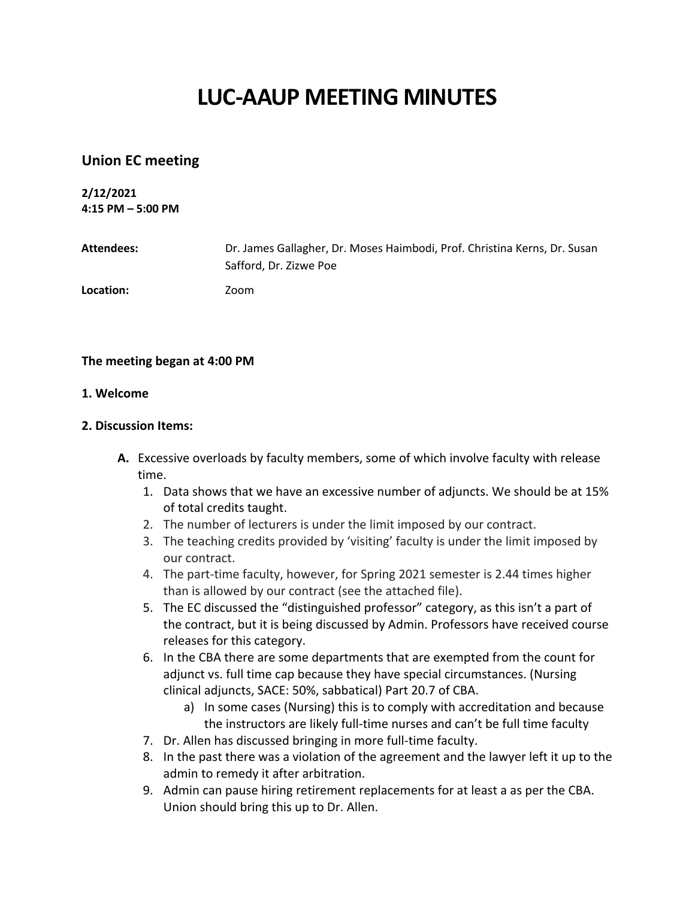# **LUC-AAUP MEETING MINUTES**

## **Union EC meeting**

**2/12/2021 4:15 PM – 5:00 PM**

| Attendees: | Dr. James Gallagher, Dr. Moses Haimbodi, Prof. Christina Kerns, Dr. Susan<br>Safford, Dr. Zizwe Poe |
|------------|-----------------------------------------------------------------------------------------------------|
| Location:  | Zoom                                                                                                |

### **The meeting began at 4:00 PM**

### **1. Welcome**

#### **2. Discussion Items:**

- **A.** Excessive overloads by faculty members, some of which involve faculty with release time.
	- 1. Data shows that we have an excessive number of adjuncts. We should be at 15% of total credits taught.
	- 2. The number of lecturers is under the limit imposed by our contract.
	- 3. The teaching credits provided by 'visiting' faculty is under the limit imposed by our contract.
	- 4. The part-time faculty, however, for Spring 2021 semester is 2.44 times higher than is allowed by our contract (see the attached file).
	- 5. The EC discussed the "distinguished professor" category, as this isn't a part of the contract, but it is being discussed by Admin. Professors have received course releases for this category.
	- 6. In the CBA there are some departments that are exempted from the count for adjunct vs. full time cap because they have special circumstances. (Nursing clinical adjuncts, SACE: 50%, sabbatical) Part 20.7 of CBA.
		- a) In some cases (Nursing) this is to comply with accreditation and because the instructors are likely full-time nurses and can't be full time faculty
	- 7. Dr. Allen has discussed bringing in more full-time faculty.
	- 8. In the past there was a violation of the agreement and the lawyer left it up to the admin to remedy it after arbitration.
	- 9. Admin can pause hiring retirement replacements for at least a as per the CBA. Union should bring this up to Dr. Allen.